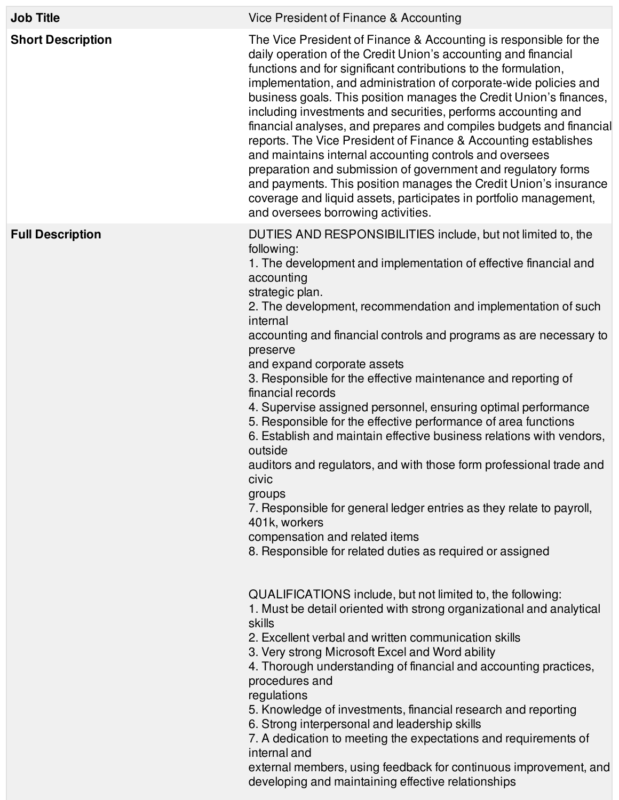| <b>Job Title</b>         | Vice President of Finance & Accounting                                                                                                                                                                                                                                                                                                                                                                                                                                                                                                                                                                                                                                                                                                                                                                                                                                                                                                                                      |
|--------------------------|-----------------------------------------------------------------------------------------------------------------------------------------------------------------------------------------------------------------------------------------------------------------------------------------------------------------------------------------------------------------------------------------------------------------------------------------------------------------------------------------------------------------------------------------------------------------------------------------------------------------------------------------------------------------------------------------------------------------------------------------------------------------------------------------------------------------------------------------------------------------------------------------------------------------------------------------------------------------------------|
| <b>Short Description</b> | The Vice President of Finance & Accounting is responsible for the<br>daily operation of the Credit Union's accounting and financial<br>functions and for significant contributions to the formulation,<br>implementation, and administration of corporate-wide policies and<br>business goals. This position manages the Credit Union's finances,<br>including investments and securities, performs accounting and<br>financial analyses, and prepares and compiles budgets and financial<br>reports. The Vice President of Finance & Accounting establishes<br>and maintains internal accounting controls and oversees<br>preparation and submission of government and regulatory forms<br>and payments. This position manages the Credit Union's insurance<br>coverage and liquid assets, participates in portfolio management,<br>and oversees borrowing activities.                                                                                                     |
| <b>Full Description</b>  | DUTIES AND RESPONSIBILITIES include, but not limited to, the<br>following:<br>1. The development and implementation of effective financial and<br>accounting<br>strategic plan.<br>2. The development, recommendation and implementation of such<br>internal<br>accounting and financial controls and programs as are necessary to<br>preserve<br>and expand corporate assets<br>3. Responsible for the effective maintenance and reporting of<br>financial records<br>4. Supervise assigned personnel, ensuring optimal performance<br>5. Responsible for the effective performance of area functions<br>6. Establish and maintain effective business relations with vendors,<br>outside<br>auditors and regulators, and with those form professional trade and<br>civic<br>groups<br>7. Responsible for general ledger entries as they relate to payroll,<br>401k, workers<br>compensation and related items<br>8. Responsible for related duties as required or assigned |
|                          | QUALIFICATIONS include, but not limited to, the following:<br>1. Must be detail oriented with strong organizational and analytical<br>skills<br>2. Excellent verbal and written communication skills<br>3. Very strong Microsoft Excel and Word ability<br>4. Thorough understanding of financial and accounting practices,<br>procedures and<br>regulations<br>5. Knowledge of investments, financial research and reporting<br>6. Strong interpersonal and leadership skills<br>7. A dedication to meeting the expectations and requirements of<br>internal and<br>external members, using feedback for continuous improvement, and<br>developing and maintaining effective relationships                                                                                                                                                                                                                                                                                 |